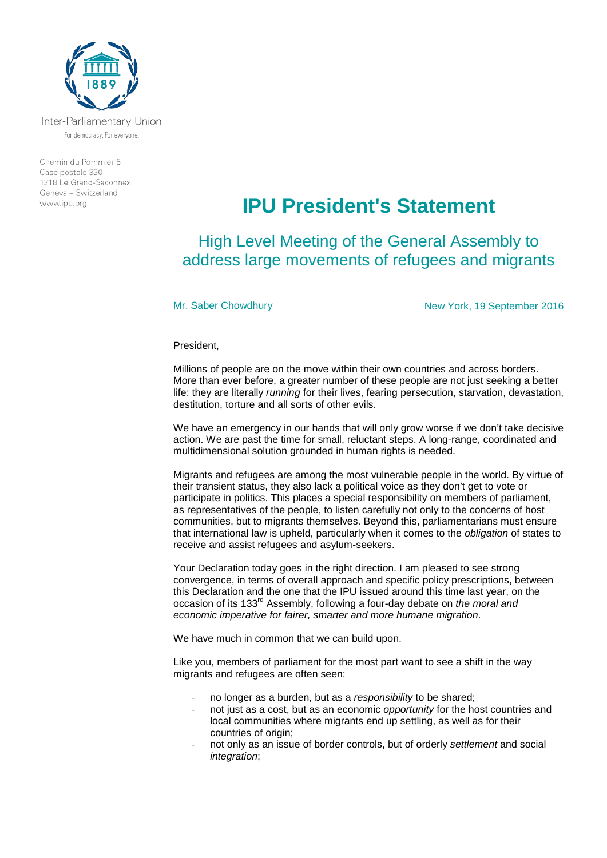

Inter-Parliamentary Union For democracy. For everyone.

Chemin du Pommier 5 Case postale 330 1218 Le Grand-Saconnex Geneva - Switzerland www.ipu.org

## **IPU President's Statement**

High Level Meeting of the General Assembly to address large movements of refugees and migrants

Mr. Saber Chowdhury **New York, 19 September 2016** 

President,

Millions of people are on the move within their own countries and across borders. More than ever before, a greater number of these people are not just seeking a better life: they are literally *running* for their lives, fearing persecution, starvation, devastation, destitution, torture and all sorts of other evils.

We have an emergency in our hands that will only grow worse if we don't take decisive action. We are past the time for small, reluctant steps. A long-range, coordinated and multidimensional solution grounded in human rights is needed.

Migrants and refugees are among the most vulnerable people in the world. By virtue of their transient status, they also lack a political voice as they don't get to vote or participate in politics. This places a special responsibility on members of parliament, as representatives of the people, to listen carefully not only to the concerns of host communities, but to migrants themselves. Beyond this, parliamentarians must ensure that international law is upheld, particularly when it comes to the *obligation* of states to receive and assist refugees and asylum-seekers.

Your Declaration today goes in the right direction. I am pleased to see strong convergence, in terms of overall approach and specific policy prescriptions, between this Declaration and the one that the IPU issued around this time last year, on the occasion of its 133rd Assembly, following a four-day debate on *the moral and economic imperative for fairer, smarter and more humane migration*.

We have much in common that we can build upon.

Like you, members of parliament for the most part want to see a shift in the way migrants and refugees are often seen:

- no longer as a burden, but as a *responsibility* to be shared;
- not just as a cost, but as an economic *opportunity* for the host countries and local communities where migrants end up settling, as well as for their countries of origin:
- not only as an issue of border controls, but of orderly *settlement* and social *integration*;